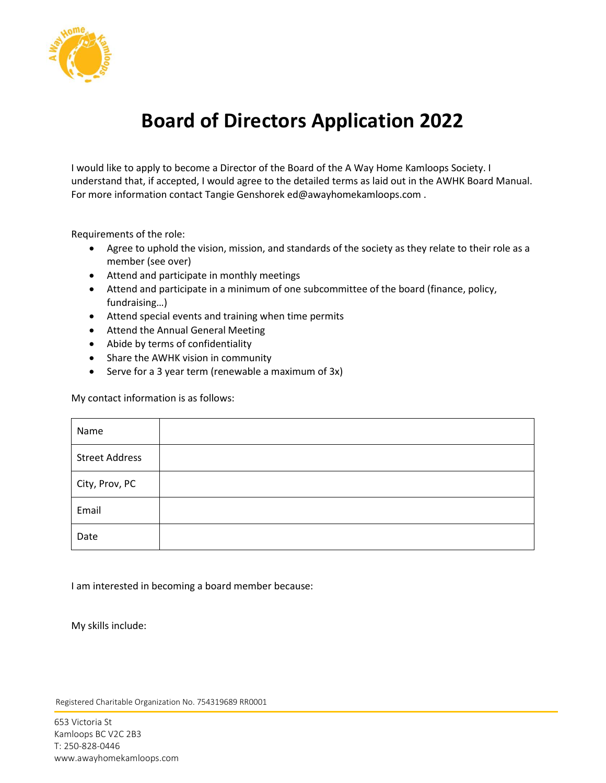

## **Board of Directors Application 2022**

I would like to apply to become a Director of the Board of the A Way Home Kamloops Society. I understand that, if accepted, I would agree to the detailed terms as laid out in the AWHK Board Manual. For more information contact Tangie Genshorek ed@awayhomekamloops.com .

Requirements of the role:

- Agree to uphold the vision, mission, and standards of the society as they relate to their role as a member (see over)
- Attend and participate in monthly meetings
- Attend and participate in a minimum of one subcommittee of the board (finance, policy, fundraising…)
- Attend special events and training when time permits
- Attend the Annual General Meeting
- Abide by terms of confidentiality
- Share the AWHK vision in community
- Serve for a 3 year term (renewable a maximum of 3x)

My contact information is as follows:

| Name                  |  |
|-----------------------|--|
| <b>Street Address</b> |  |
| City, Prov, PC        |  |
| Email                 |  |
| Date                  |  |

I am interested in becoming a board member because:

My skills include:

Registered Charitable Organization No. 754319689 RR0001

653 Victoria St Kamloops BC V2C 2B3 T: 250-828-0446 www.awayhomekamloops.com